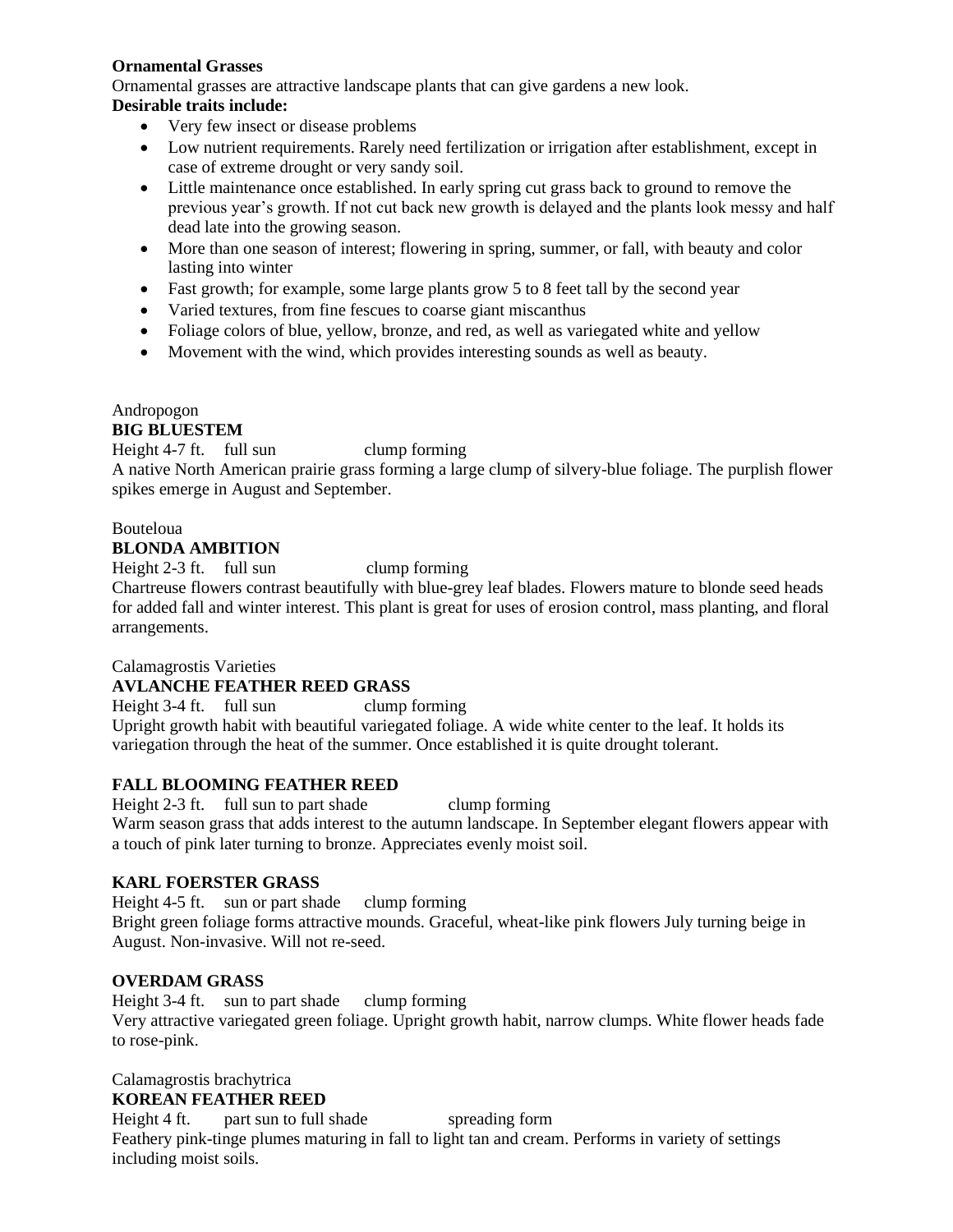### **Ornamental Grasses**

Ornamental grasses are attractive landscape plants that can give gardens a new look.

### **Desirable traits include:**

- Very few insect or disease problems
- Low nutrient requirements. Rarely need fertilization or irrigation after establishment, except in case of extreme drought or very sandy soil.
- Little maintenance once established. In early spring cut grass back to ground to remove the previous year's growth. If not cut back new growth is delayed and the plants look messy and half dead late into the growing season.
- More than one season of interest; flowering in spring, summer, or fall, with beauty and color lasting into winter
- Fast growth; for example, some large plants grow 5 to 8 feet tall by the second year
- Varied textures, from fine fescues to coarse giant miscanthus
- Foliage colors of blue, yellow, bronze, and red, as well as variegated white and yellow
- Movement with the wind, which provides interesting sounds as well as beauty.

## Andropogon

### **BIG BLUESTEM**

Height 4-7 ft. full sun clump forming A native North American prairie grass forming a large clump of silvery-blue foliage. The purplish flower spikes emerge in August and September.

#### Bouteloua **BLONDA AMBITION**

Height 2-3 ft. full sun clump forming

Chartreuse flowers contrast beautifully with blue-grey leaf blades. Flowers mature to blonde seed heads for added fall and winter interest. This plant is great for uses of erosion control, mass planting, and floral arrangements.

### Calamagrostis Varieties

### **AVLANCHE FEATHER REED GRASS**

Height 3-4 ft. full sun clump forming Upright growth habit with beautiful variegated foliage. A wide white center to the leaf. It holds its variegation through the heat of the summer. Once established it is quite drought tolerant.

### **FALL BLOOMING FEATHER REED**

Height 2-3 ft. full sun to part shade clump forming Warm season grass that adds interest to the autumn landscape. In September elegant flowers appear with a touch of pink later turning to bronze. Appreciates evenly moist soil.

### **KARL FOERSTER GRASS**

Height 4-5 ft. sun or part shade clump forming Bright green foliage forms attractive mounds. Graceful, wheat-like pink flowers July turning beige in August. Non-invasive. Will not re-seed.

### **OVERDAM GRASS**

Height 3-4 ft. sun to part shade clump forming Very attractive variegated green foliage. Upright growth habit, narrow clumps. White flower heads fade to rose-pink.

# Calamagrostis brachytrica

## **KOREAN FEATHER REED**

Height 4 ft. part sun to full shade spreading form Feathery pink-tinge plumes maturing in fall to light tan and cream. Performs in variety of settings including moist soils.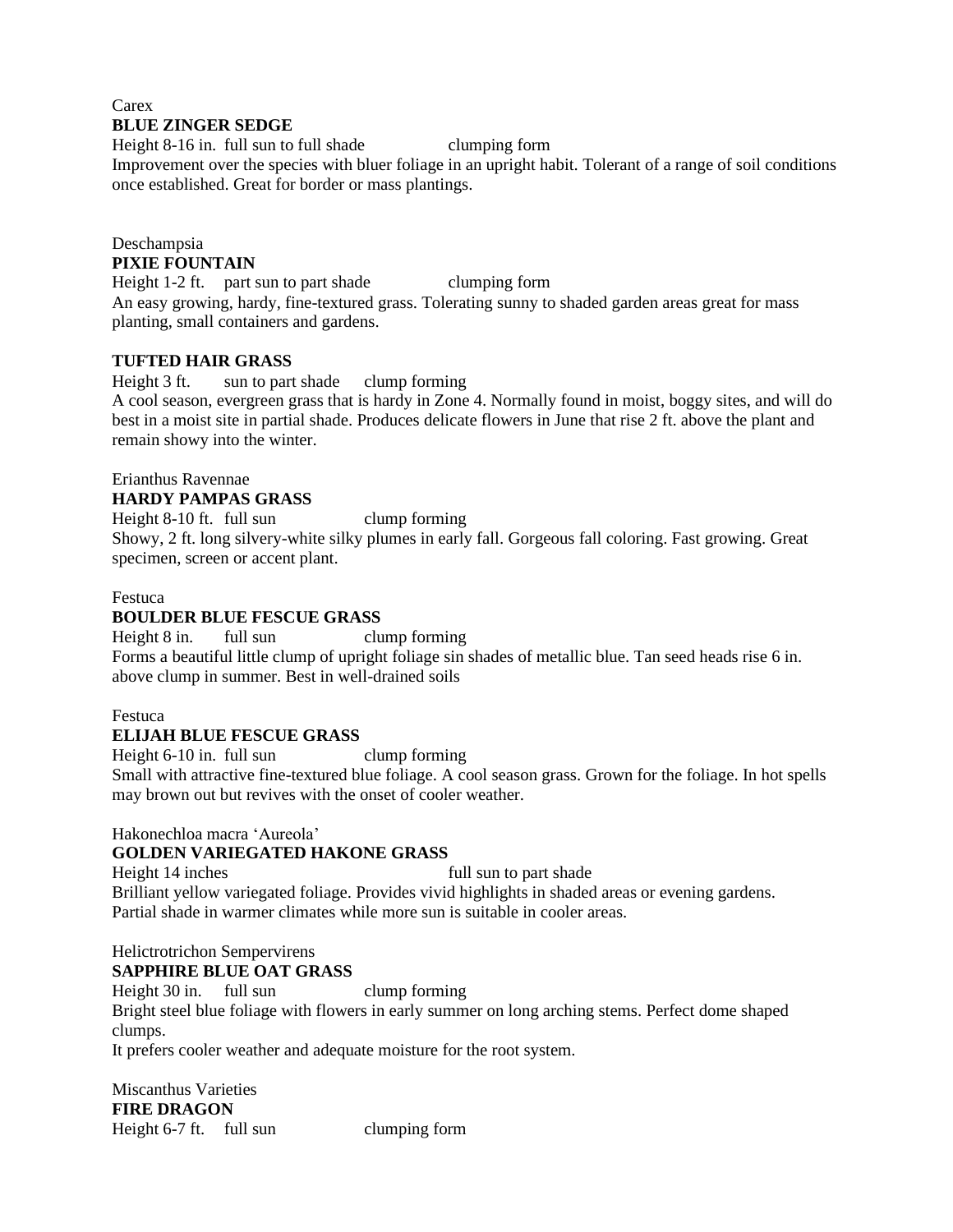#### **Carex BLUE ZINGER SEDGE**

Height 8-16 in. full sun to full shade clumping form Improvement over the species with bluer foliage in an upright habit. Tolerant of a range of soil conditions once established. Great for border or mass plantings.

#### Deschampsia **PIXIE FOUNTAIN**

Height 1-2 ft. part sun to part shade clumping form An easy growing, hardy, fine-textured grass. Tolerating sunny to shaded garden areas great for mass planting, small containers and gardens.

### **TUFTED HAIR GRASS**

Height 3 ft. sun to part shade clump forming A cool season, evergreen grass that is hardy in Zone 4. Normally found in moist, boggy sites, and will do best in a moist site in partial shade. Produces delicate flowers in June that rise 2 ft. above the plant and remain showy into the winter.

#### Erianthus Ravennae **HARDY PAMPAS GRASS**

Height 8-10 ft. full sun clump forming Showy, 2 ft. long silvery-white silky plumes in early fall. Gorgeous fall coloring. Fast growing. Great specimen, screen or accent plant.

### Festuca

### **BOULDER BLUE FESCUE GRASS**

Height 8 in. full sun clump forming Forms a beautiful little clump of upright foliage sin shades of metallic blue. Tan seed heads rise 6 in. above clump in summer. Best in well-drained soils

#### Festuca

### **ELIJAH BLUE FESCUE GRASS**

Height 6-10 in. full sun clump forming Small with attractive fine-textured blue foliage. A cool season grass. Grown for the foliage. In hot spells may brown out but revives with the onset of cooler weather.

#### Hakonechloa macra 'Aureola'

### **GOLDEN VARIEGATED HAKONE GRASS**

Height 14 inches full sun to part shade Brilliant yellow variegated foliage. Provides vivid highlights in shaded areas or evening gardens. Partial shade in warmer climates while more sun is suitable in cooler areas.

## Helictrotrichon Sempervirens

**SAPPHIRE BLUE OAT GRASS**

Height 30 in. full sun clump forming

Bright steel blue foliage with flowers in early summer on long arching stems. Perfect dome shaped clumps.

It prefers cooler weather and adequate moisture for the root system.

Miscanthus Varieties **FIRE DRAGON** Height 6-7 ft. full sun clumping form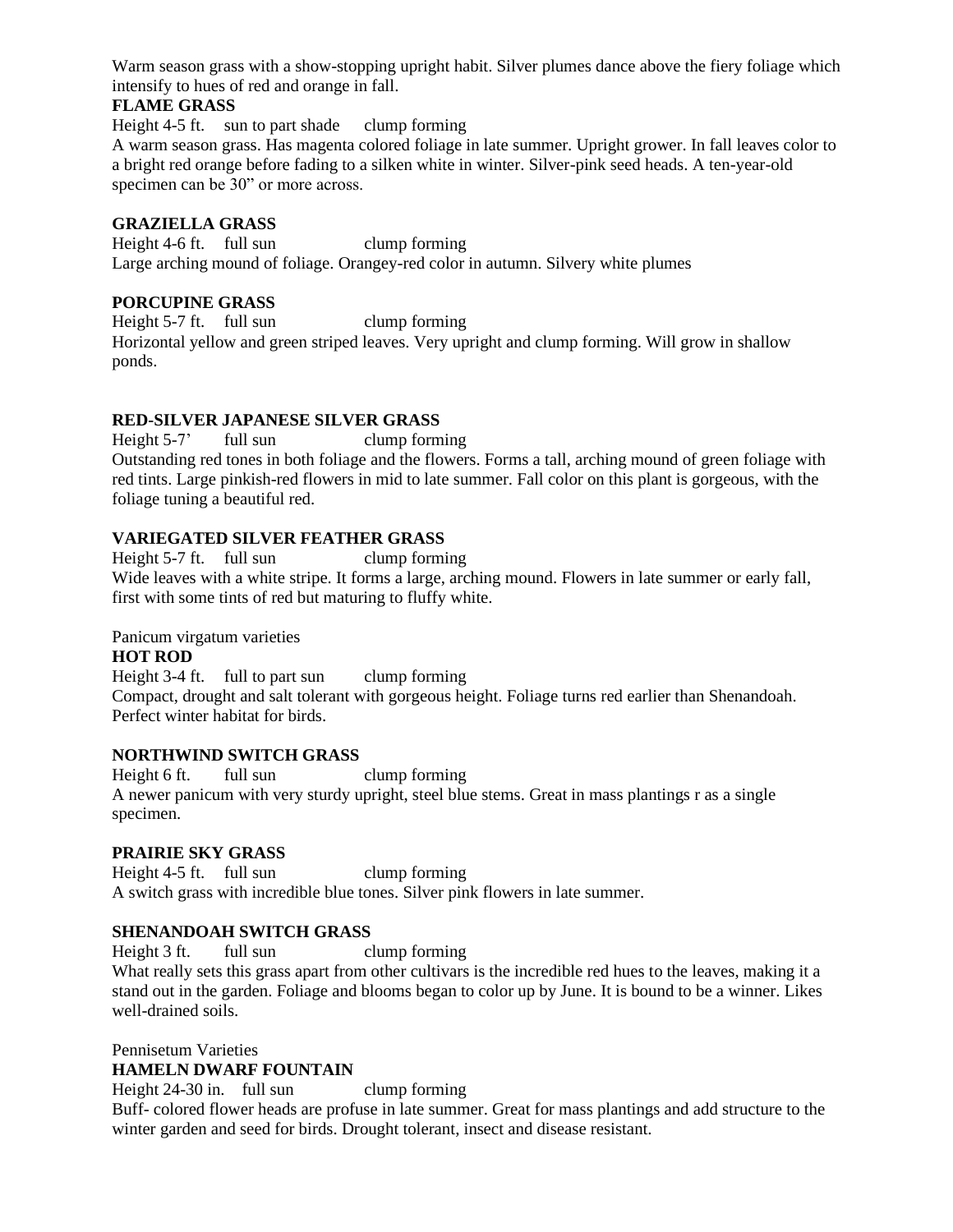Warm season grass with a show-stopping upright habit. Silver plumes dance above the fiery foliage which intensify to hues of red and orange in fall.

### **FLAME GRASS**

Height 4-5 ft. sun to part shade clump forming

A warm season grass. Has magenta colored foliage in late summer. Upright grower. In fall leaves color to a bright red orange before fading to a silken white in winter. Silver-pink seed heads. A ten-year-old specimen can be 30" or more across.

#### **GRAZIELLA GRASS**

Height 4-6 ft. full sun clump forming Large arching mound of foliage. Orangey-red color in autumn. Silvery white plumes

### **PORCUPINE GRASS**

Height 5-7 ft. full sun clump forming Horizontal yellow and green striped leaves. Very upright and clump forming. Will grow in shallow ponds.

### **RED-SILVER JAPANESE SILVER GRASS**

Height 5-7' full sun clump forming Outstanding red tones in both foliage and the flowers. Forms a tall, arching mound of green foliage with red tints. Large pinkish-red flowers in mid to late summer. Fall color on this plant is gorgeous, with the foliage tuning a beautiful red.

### **VARIEGATED SILVER FEATHER GRASS**

Height 5-7 ft. full sun clump forming Wide leaves with a white stripe. It forms a large, arching mound. Flowers in late summer or early fall, first with some tints of red but maturing to fluffy white.

#### Panicum virgatum varieties

#### **HOT ROD**

Height 3-4 ft. full to part sun clump forming Compact, drought and salt tolerant with gorgeous height. Foliage turns red earlier than Shenandoah. Perfect winter habitat for birds.

#### **NORTHWIND SWITCH GRASS**

Height 6 ft. full sun clump forming A newer panicum with very sturdy upright, steel blue stems. Great in mass plantings r as a single specimen.

### **PRAIRIE SKY GRASS**

Height 4-5 ft. full sun clump forming A switch grass with incredible blue tones. Silver pink flowers in late summer.

### **SHENANDOAH SWITCH GRASS**

Height 3 ft. full sun clump forming

What really sets this grass apart from other cultivars is the incredible red hues to the leaves, making it a stand out in the garden. Foliage and blooms began to color up by June. It is bound to be a winner. Likes well-drained soils.

#### Pennisetum Varieties **HAMELN DWARF FOUNTAIN**

Height 24-30 in. full sun clump forming Buff- colored flower heads are profuse in late summer. Great for mass plantings and add structure to the winter garden and seed for birds. Drought tolerant, insect and disease resistant.